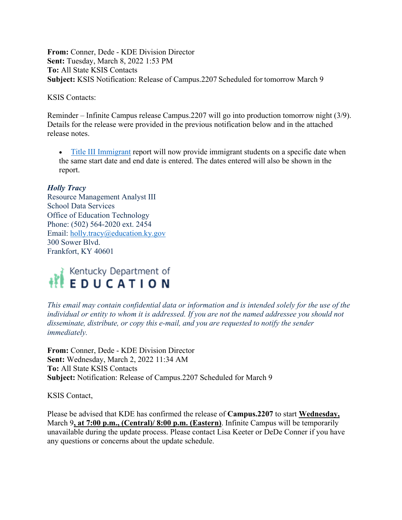**From:** Conner, Dede - KDE Division Director **Sent:** Tuesday, March 8, 2022 1:53 PM **To:** All State KSIS Contacts **Subject:** KSIS Notification: Release of Campus.2207 Scheduled for tomorrow March 9

KSIS Contacts:

Reminder – Infinite Campus release Campus.2207 will go into production tomorrow night (3/9). Details for the release were provided in the previous notification below and in the attached release notes.

• [Title III Immigrant](https://education.ky.gov/districts/tech/sis/Documents/IC_CustomRpt_TitleIII_Immigrant.pdf) report will now provide immigrant students on a specific date when the same start date and end date is entered. The dates entered will also be shown in the report.

## *Holly Tracy*

Resource Management Analyst III School Data Services Office of Education Technology Phone: (502) 564-2020 ext. 2454 Email: [holly.tracy@education.ky.gov](mailto:holly.tracy@education.ky.gov) 300 Sower Blvd. Frankfort, KY 40601



*This email may contain confidential data or information and is intended solely for the use of the individual or entity to whom it is addressed. If you are not the named addressee you should not disseminate, distribute, or copy this e-mail, and you are requested to notify the sender immediately.*

**From:** Conner, Dede - KDE Division Director **Sent:** Wednesday, March 2, 2022 11:34 AM **To:** All State KSIS Contacts **Subject:** Notification: Release of Campus.2207 Scheduled for March 9

KSIS Contact,

Please be advised that KDE has confirmed the release of **Campus.2207** to start **Wednesday,**  March 9**, at 7:00 p.m., (Central)/ 8:00 p.m. (Eastern)**. Infinite Campus will be temporarily unavailable during the update process. Please contact Lisa Keeter or DeDe Conner if you have any questions or concerns about the update schedule.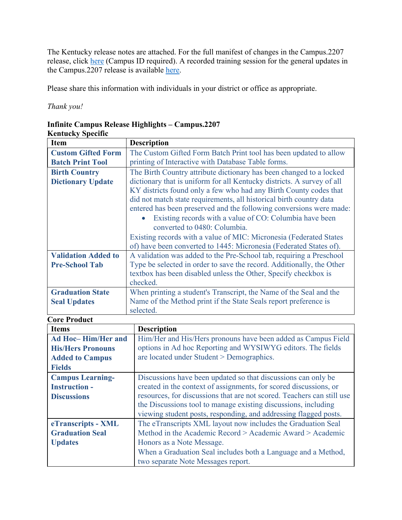The Kentucky release notes are attached. For the full manifest of changes in the Campus.2207 release, click [here](https://kb.infinitecampus.com/help/release-pack-campus2207-february-2022) (Campus ID required). A recorded training session for the general updates in the Campus.2207 release is available [here.](https://university.infinitecampus.com/learn/course/internal/view/elearning/20364/campus2207-sis-release-highlights)

Please share this information with individuals in your district or office as appropriate.

*Thank you!*

## **Infinite Campus Release Highlights – Campus.2207**

| Kentucky Specific |  |  |
|-------------------|--|--|
|                   |  |  |

| <b>Item</b>                | <b>Description</b>                                                     |
|----------------------------|------------------------------------------------------------------------|
| <b>Custom Gifted Form</b>  | The Custom Gifted Form Batch Print tool has been updated to allow      |
| <b>Batch Print Tool</b>    | printing of Interactive with Database Table forms.                     |
| <b>Birth Country</b>       | The Birth Country attribute dictionary has been changed to a locked    |
| <b>Dictionary Update</b>   | dictionary that is uniform for all Kentucky districts. A survey of all |
|                            | KY districts found only a few who had any Birth County codes that      |
|                            | did not match state requirements, all historical birth country data    |
|                            | entered has been preserved and the following conversions were made:    |
|                            | Existing records with a value of CO: Columbia have been<br>$\bullet$   |
|                            | converted to 0480: Columbia.                                           |
|                            | Existing records with a value of MIC: Micronesia (Federated States     |
|                            | of) have been converted to 1445: Micronesia (Federated States of).     |
| <b>Validation Added to</b> | A validation was added to the Pre-School tab, requiring a Preschool    |
| <b>Pre-School Tab</b>      | Type be selected in order to save the record. Additionally, the Other  |
|                            | textbox has been disabled unless the Other, Specify checkbox is        |
|                            | checked.                                                               |
| <b>Graduation State</b>    | When printing a student's Transcript, the Name of the Seal and the     |
| <b>Seal Updates</b>        | Name of the Method print if the State Seals report preference is       |
|                            | selected.                                                              |
| <b>Core Product</b>        |                                                                        |

| <b>Items</b>             | <b>Description</b>                                                     |
|--------------------------|------------------------------------------------------------------------|
| Ad Hoc-Him/Her and       | Him/Her and His/Hers pronouns have been added as Campus Field          |
| <b>His/Hers Pronouns</b> | options in Ad hoc Reporting and WYSIWYG editors. The fields            |
| <b>Added to Campus</b>   | are located under Student > Demographics.                              |
| <b>Fields</b>            |                                                                        |
| <b>Campus Learning-</b>  | Discussions have been updated so that discussions can only be          |
| <b>Instruction -</b>     | created in the context of assignments, for scored discussions, or      |
| <b>Discussions</b>       | resources, for discussions that are not scored. Teachers can still use |
|                          | the Discussions tool to manage existing discussions, including         |
|                          | viewing student posts, responding, and addressing flagged posts.       |
| eTranscripts - XML       | The eTranscripts XML layout now includes the Graduation Seal           |
| <b>Graduation Seal</b>   | Method in the Academic Record > Academic Award > Academic              |
| <b>Updates</b>           | Honors as a Note Message.                                              |
|                          | When a Graduation Seal includes both a Language and a Method,          |
|                          | two separate Note Messages report.                                     |